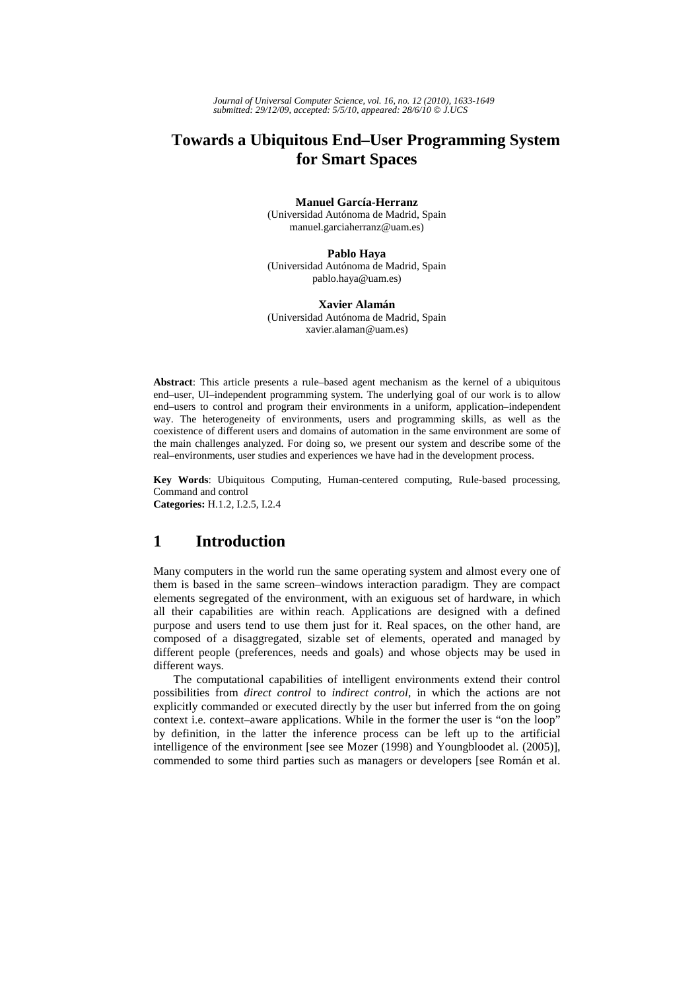# **Towards a Ubiquitous End–User Programming System for Smart Spaces**

### **Manuel García-Herranz**

(Universidad Autónoma de Madrid, Spain manuel.garciaherranz@uam.es)

#### **Pablo Haya**

(Universidad Autónoma de Madrid, Spain pablo.haya@uam.es)

#### **Xavier Alamán**

(Universidad Autónoma de Madrid, Spain xavier.alaman@uam.es)

**Abstract**: This article presents a rule–based agent mechanism as the kernel of a ubiquitous end–user, UI–independent programming system. The underlying goal of our work is to allow end–users to control and program their environments in a uniform, application–independent way. The heterogeneity of environments, users and programming skills, as well as the coexistence of different users and domains of automation in the same environment are some of the main challenges analyzed. For doing so, we present our system and describe some of the real–environments, user studies and experiences we have had in the development process.

**Key Words**: Ubiquitous Computing, Human-centered computing, Rule-based processing, Command and control **Categories:** H.1.2, I.2.5, I.2.4

## **1 Introduction**

Many computers in the world run the same operating system and almost every one of them is based in the same screen–windows interaction paradigm. They are compact elements segregated of the environment, with an exiguous set of hardware, in which all their capabilities are within reach. Applications are designed with a defined purpose and users tend to use them just for it. Real spaces, on the other hand, are composed of a disaggregated, sizable set of elements, operated and managed by different people (preferences, needs and goals) and whose objects may be used in different ways.

The computational capabilities of intelligent environments extend their control possibilities from *direct control* to *indirect control*, in which the actions are not explicitly commanded or executed directly by the user but inferred from the on going context i.e. context–aware applications. While in the former the user is "on the loop" by definition, in the latter the inference process can be left up to the artificial intelligence of the environment [see see Mozer (1998) and Youngbloodet al. (2005)], commended to some third parties such as managers or developers [see Román et al.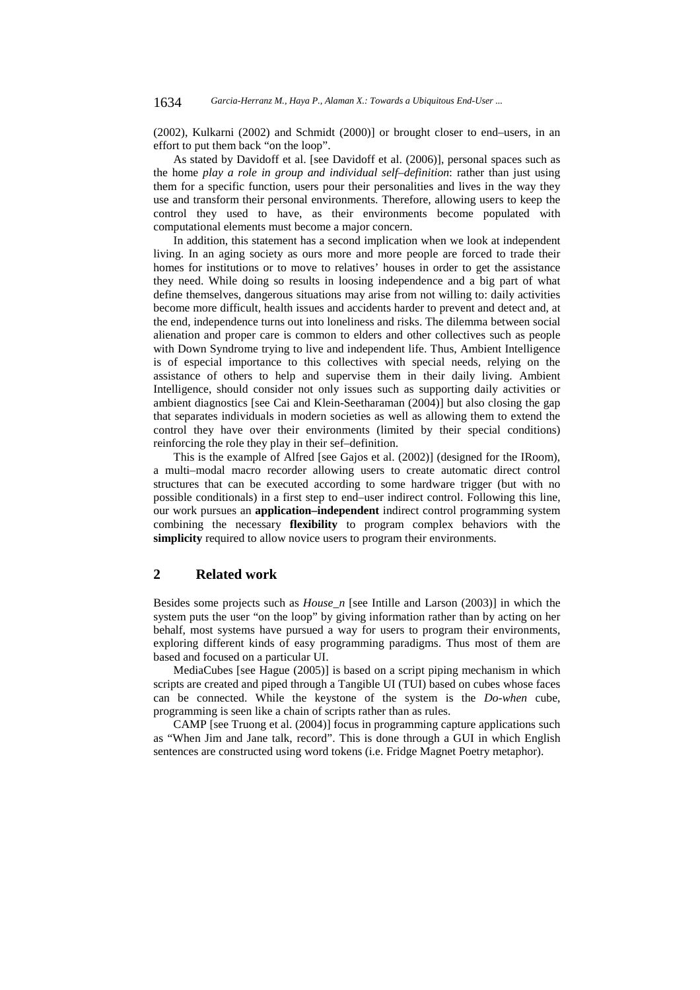(2002), Kulkarni (2002) and Schmidt (2000)] or brought closer to end–users, in an effort to put them back "on the loop".

As stated by Davidoff et al. [see Davidoff et al. (2006)], personal spaces such as the home *play a role in group and individual self–definition*: rather than just using them for a specific function, users pour their personalities and lives in the way they use and transform their personal environments. Therefore, allowing users to keep the control they used to have, as their environments become populated with computational elements must become a major concern.

In addition, this statement has a second implication when we look at independent living. In an aging society as ours more and more people are forced to trade their homes for institutions or to move to relatives' houses in order to get the assistance they need. While doing so results in loosing independence and a big part of what define themselves, dangerous situations may arise from not willing to: daily activities become more difficult, health issues and accidents harder to prevent and detect and, at the end, independence turns out into loneliness and risks. The dilemma between social alienation and proper care is common to elders and other collectives such as people with Down Syndrome trying to live and independent life. Thus, Ambient Intelligence is of especial importance to this collectives with special needs, relying on the assistance of others to help and supervise them in their daily living. Ambient Intelligence, should consider not only issues such as supporting daily activities or ambient diagnostics [see Cai and Klein-Seetharaman (2004)] but also closing the gap that separates individuals in modern societies as well as allowing them to extend the control they have over their environments (limited by their special conditions) reinforcing the role they play in their sef–definition.

This is the example of Alfred [see Gajos et al. (2002)] (designed for the IRoom), a multi–modal macro recorder allowing users to create automatic direct control structures that can be executed according to some hardware trigger (but with no possible conditionals) in a first step to end–user indirect control. Following this line, our work pursues an **application–independent** indirect control programming system combining the necessary **flexibility** to program complex behaviors with the **simplicity** required to allow novice users to program their environments.

## **2 Related work**

Besides some projects such as *House\_n* [see Intille and Larson (2003)] in which the system puts the user "on the loop" by giving information rather than by acting on her behalf, most systems have pursued a way for users to program their environments, exploring different kinds of easy programming paradigms. Thus most of them are based and focused on a particular UI.

MediaCubes [see Hague (2005)] is based on a script piping mechanism in which scripts are created and piped through a Tangible UI (TUI) based on cubes whose faces can be connected. While the keystone of the system is the *Do-when* cube, programming is seen like a chain of scripts rather than as rules.

CAMP [see Truong et al. (2004)] focus in programming capture applications such as "When Jim and Jane talk, record". This is done through a GUI in which English sentences are constructed using word tokens (i.e. Fridge Magnet Poetry metaphor).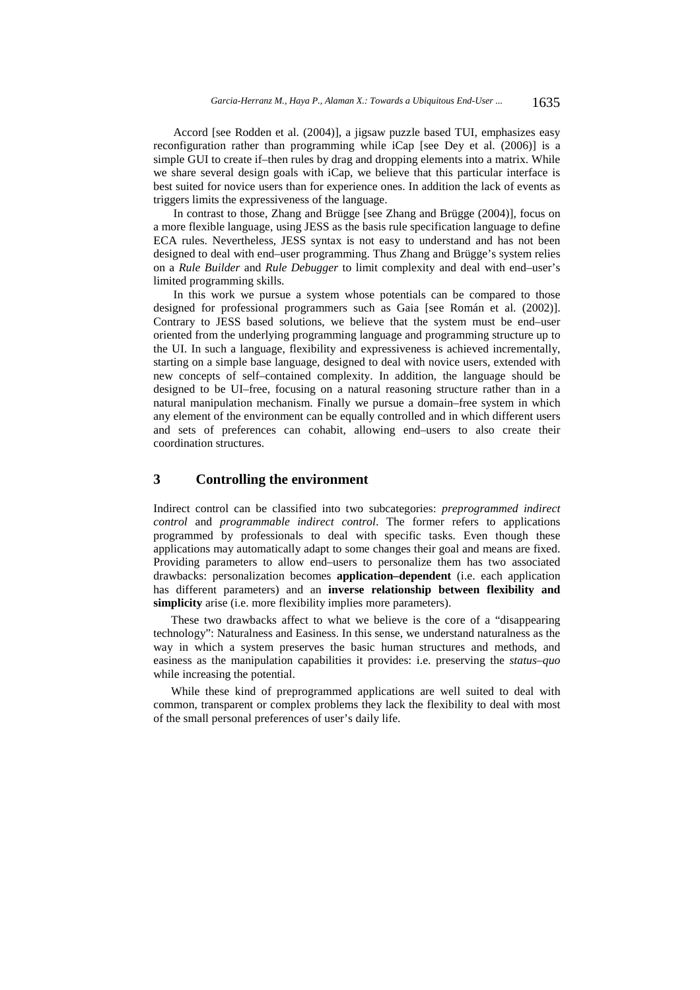Accord [see Rodden et al. (2004)], a jigsaw puzzle based TUI, emphasizes easy reconfiguration rather than programming while iCap [see Dey et al. (2006)] is a simple GUI to create if–then rules by drag and dropping elements into a matrix. While we share several design goals with iCap, we believe that this particular interface is best suited for novice users than for experience ones. In addition the lack of events as triggers limits the expressiveness of the language.

In contrast to those, Zhang and Brügge [see Zhang and Brügge (2004)], focus on a more flexible language, using JESS as the basis rule specification language to define ECA rules. Nevertheless, JESS syntax is not easy to understand and has not been designed to deal with end–user programming. Thus Zhang and Brügge's system relies on a *Rule Builder* and *Rule Debugger* to limit complexity and deal with end–user's limited programming skills.

In this work we pursue a system whose potentials can be compared to those designed for professional programmers such as Gaia [see Román et al. (2002)]. Contrary to JESS based solutions, we believe that the system must be end–user oriented from the underlying programming language and programming structure up to the UI. In such a language, flexibility and expressiveness is achieved incrementally, starting on a simple base language, designed to deal with novice users, extended with new concepts of self–contained complexity. In addition, the language should be designed to be UI–free, focusing on a natural reasoning structure rather than in a natural manipulation mechanism. Finally we pursue a domain–free system in which any element of the environment can be equally controlled and in which different users and sets of preferences can cohabit, allowing end–users to also create their coordination structures.

## **3 Controlling the environment**

Indirect control can be classified into two subcategories: *preprogrammed indirect control* and *programmable indirect control*. The former refers to applications programmed by professionals to deal with specific tasks. Even though these applications may automatically adapt to some changes their goal and means are fixed. Providing parameters to allow end–users to personalize them has two associated drawbacks: personalization becomes **application–dependent** (i.e. each application has different parameters) and an **inverse relationship between flexibility and simplicity** arise (i.e. more flexibility implies more parameters).

These two drawbacks affect to what we believe is the core of a "disappearing technology": Naturalness and Easiness. In this sense, we understand naturalness as the way in which a system preserves the basic human structures and methods, and easiness as the manipulation capabilities it provides: i.e. preserving the *status–quo* while increasing the potential.

While these kind of preprogrammed applications are well suited to deal with common, transparent or complex problems they lack the flexibility to deal with most of the small personal preferences of user's daily life.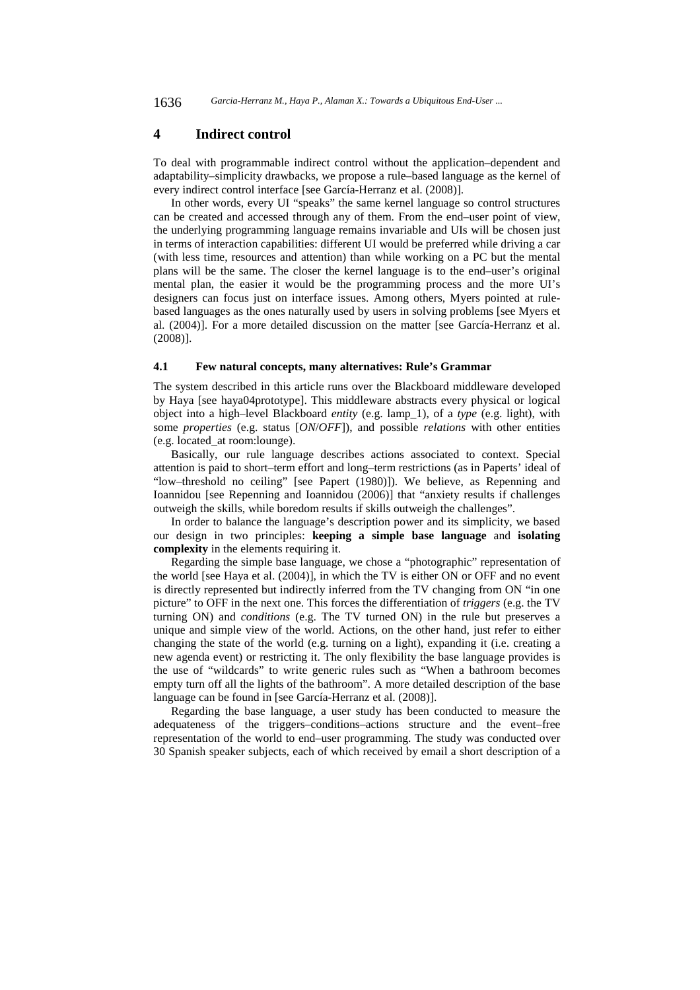### **4 Indirect control**

To deal with programmable indirect control without the application–dependent and adaptability–simplicity drawbacks, we propose a rule–based language as the kernel of every indirect control interface [see García-Herranz et al. (2008)].

In other words, every UI "speaks" the same kernel language so control structures can be created and accessed through any of them. From the end–user point of view, the underlying programming language remains invariable and UIs will be chosen just in terms of interaction capabilities: different UI would be preferred while driving a car (with less time, resources and attention) than while working on a PC but the mental plans will be the same. The closer the kernel language is to the end–user's original mental plan, the easier it would be the programming process and the more UI's designers can focus just on interface issues. Among others, Myers pointed at rulebased languages as the ones naturally used by users in solving problems [see Myers et al. (2004)]. For a more detailed discussion on the matter [see García-Herranz et al. (2008)].

#### **4.1 Few natural concepts, many alternatives: Rule's Grammar**

The system described in this article runs over the Blackboard middleware developed by Haya [see haya04prototype]. This middleware abstracts every physical or logical object into a high–level Blackboard *entity* (e.g. lamp\_1), of a *type* (e.g. light), with some *properties* (e.g. status [*ON*/*OFF*]), and possible *relations* with other entities (e.g. located\_at room:lounge).

Basically, our rule language describes actions associated to context. Special attention is paid to short–term effort and long–term restrictions (as in Paperts' ideal of "low–threshold no ceiling" [see Papert (1980)]). We believe, as Repenning and Ioannidou [see Repenning and Ioannidou (2006)] that "anxiety results if challenges outweigh the skills, while boredom results if skills outweigh the challenges".

In order to balance the language's description power and its simplicity, we based our design in two principles: **keeping a simple base language** and **isolating complexity** in the elements requiring it.

Regarding the simple base language, we chose a "photographic" representation of the world [see Haya et al. (2004)], in which the TV is either ON or OFF and no event is directly represented but indirectly inferred from the TV changing from ON "in one picture" to OFF in the next one. This forces the differentiation of *triggers* (e.g. the TV turning ON) and *conditions* (e.g. The TV turned ON) in the rule but preserves a unique and simple view of the world. Actions, on the other hand, just refer to either changing the state of the world (e.g. turning on a light), expanding it (i.e. creating a new agenda event) or restricting it. The only flexibility the base language provides is the use of "wildcards" to write generic rules such as "When a bathroom becomes empty turn off all the lights of the bathroom". A more detailed description of the base language can be found in [see García-Herranz et al. (2008)].

Regarding the base language, a user study has been conducted to measure the adequateness of the triggers–conditions–actions structure and the event–free representation of the world to end–user programming. The study was conducted over 30 Spanish speaker subjects, each of which received by email a short description of a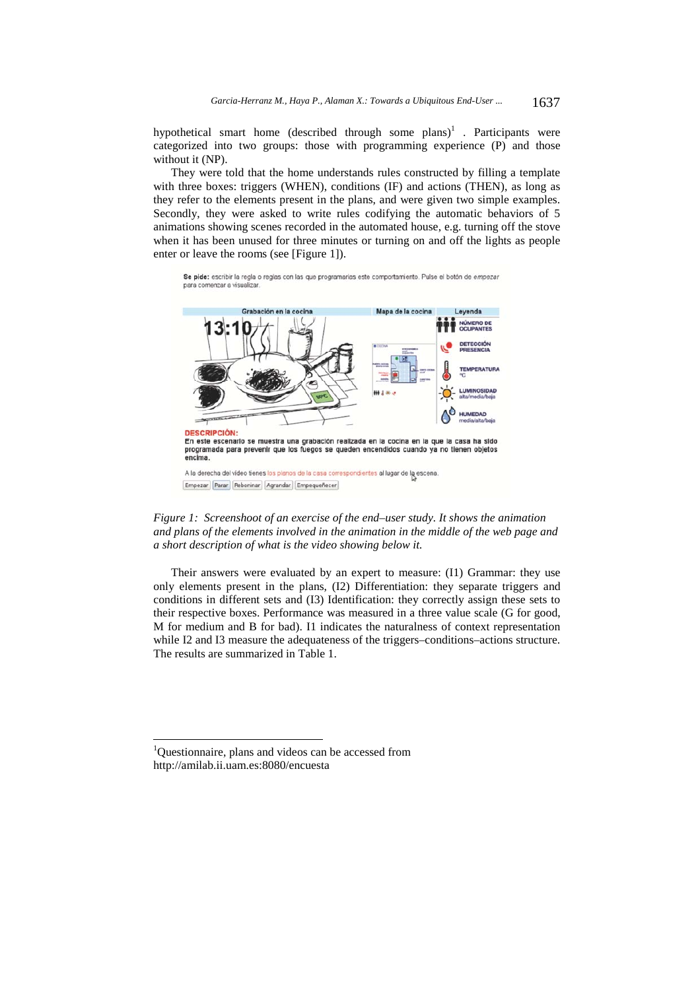hypothetical smart home (described through some plans)<sup>1</sup>. Participants were categorized into two groups: those with programming experience (P) and those without it (NP).

They were told that the home understands rules constructed by filling a template with three boxes: triggers (WHEN), conditions (IF) and actions (THEN), as long as they refer to the elements present in the plans, and were given two simple examples. Secondly, they were asked to write rules codifying the automatic behaviors of 5 animations showing scenes recorded in the automated house, e.g. turning off the stove when it has been unused for three minutes or turning on and off the lights as people enter or leave the rooms (see [Figure 1]).

Se pide: escribir la regla o reglas con las que programarias este comportamiento. Pulse el botón de empezar para comenzar a visualizar



*Figure 1: Screenshoot of an exercise of the end–user study. It shows the animation and plans of the elements involved in the animation in the middle of the web page and a short description of what is the video showing below it.* 

Their answers were evaluated by an expert to measure: (I1) Grammar: they use only elements present in the plans, (I2) Differentiation: they separate triggers and conditions in different sets and (I3) Identification: they correctly assign these sets to their respective boxes. Performance was measured in a three value scale (G for good, M for medium and B for bad). I1 indicates the naturalness of context representation while I2 and I3 measure the adequateness of the triggers–conditions–actions structure. The results are summarized in Table 1.

l

<sup>&</sup>lt;sup>1</sup>Questionnaire, plans and videos can be accessed from http://amilab.ii.uam.es:8080/encuesta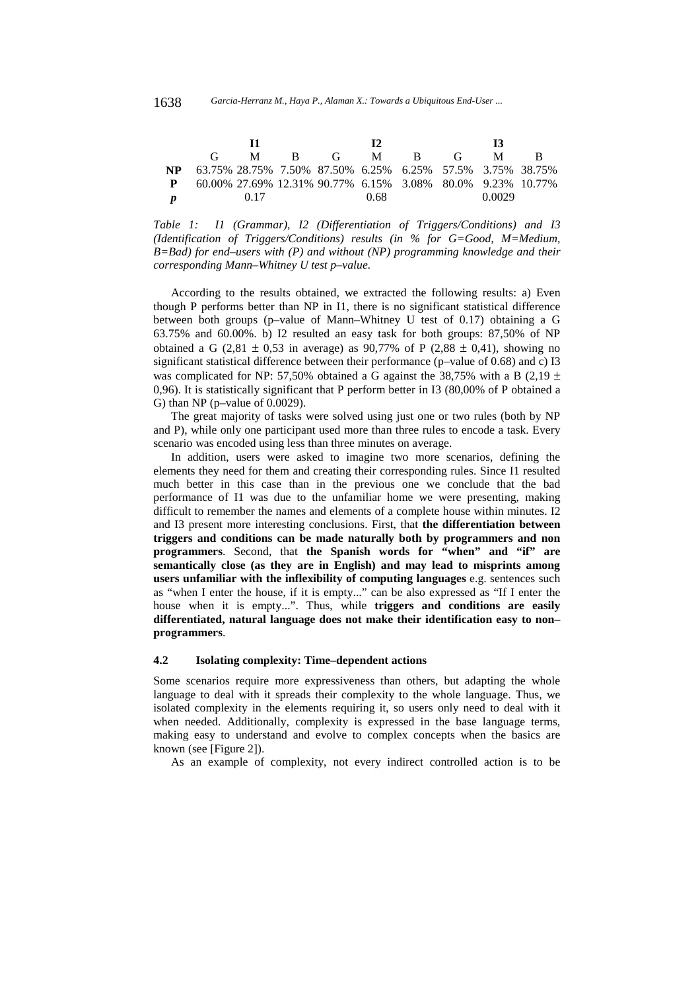|              |                                                           | M    |  | $R$ G                                                      |      | M B | $\mathbf{G}$ | M      |  |
|--------------|-----------------------------------------------------------|------|--|------------------------------------------------------------|------|-----|--------------|--------|--|
| NP.          | 63.75% 28.75% 7.50% 87.50% 6.25% 6.25% 57.5% 3.75% 38.75% |      |  |                                                            |      |     |              |        |  |
| $\mathbf{P}$ |                                                           |      |  | 60.00% 27.69% 12.31% 90.77% 6.15% 3.08% 80.0% 9.23% 10.77% |      |     |              |        |  |
|              |                                                           | 0.17 |  |                                                            | 0.68 |     |              | 0.0029 |  |

*Table 1: I1 (Grammar), I2 (Differentiation of Triggers/Conditions) and I3 (Identification of Triggers/Conditions) results (in % for G=Good, M=Medium, B=Bad) for end–users with (P) and without (NP) programming knowledge and their corresponding Mann–Whitney U test p–value.* 

According to the results obtained, we extracted the following results: a) Even though P performs better than NP in I1, there is no significant statistical difference between both groups (p–value of Mann–Whitney U test of 0.17) obtaining a G 63.75% and 60.00%. b) I2 resulted an easy task for both groups: 87,50% of NP obtained a G (2,81  $\pm$  0,53 in average) as 90,77% of P (2,88  $\pm$  0,41), showing no significant statistical difference between their performance (p–value of 0.68) and c) I3 was complicated for NP: 57,50% obtained a G against the 38,75% with a B (2,19  $\pm$ 0,96). It is statistically significant that P perform better in I3 (80,00% of P obtained a G) than NP (p–value of 0.0029).

The great majority of tasks were solved using just one or two rules (both by NP and P), while only one participant used more than three rules to encode a task. Every scenario was encoded using less than three minutes on average.

In addition, users were asked to imagine two more scenarios, defining the elements they need for them and creating their corresponding rules. Since I1 resulted much better in this case than in the previous one we conclude that the bad performance of I1 was due to the unfamiliar home we were presenting, making difficult to remember the names and elements of a complete house within minutes. I2 and I3 present more interesting conclusions. First, that **the differentiation between triggers and conditions can be made naturally both by programmers and non programmers**. Second, that **the Spanish words for "when" and "if" are semantically close (as they are in English) and may lead to misprints among users unfamiliar with the inflexibility of computing languages** e.g. sentences such as "when I enter the house, if it is empty..." can be also expressed as "If I enter the house when it is empty...". Thus, while **triggers and conditions are easily differentiated, natural language does not make their identification easy to non– programmers**.

#### **4.2 Isolating complexity: Time–dependent actions**

Some scenarios require more expressiveness than others, but adapting the whole language to deal with it spreads their complexity to the whole language. Thus, we isolated complexity in the elements requiring it, so users only need to deal with it when needed. Additionally, complexity is expressed in the base language terms, making easy to understand and evolve to complex concepts when the basics are known (see [Figure 2]).

As an example of complexity, not every indirect controlled action is to be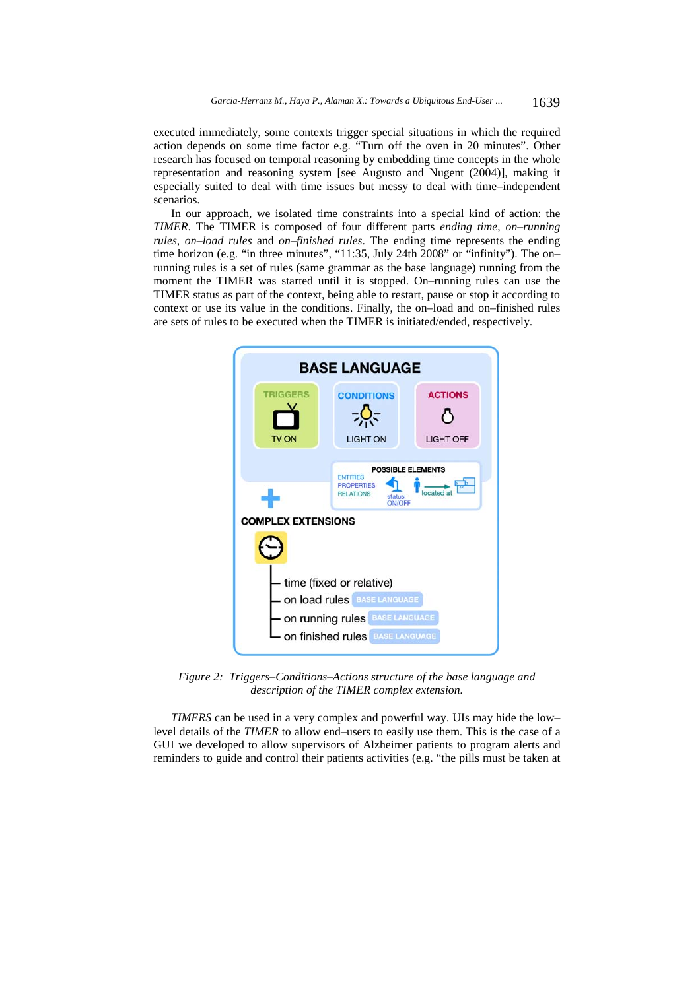executed immediately, some contexts trigger special situations in which the required action depends on some time factor e.g. "Turn off the oven in 20 minutes". Other research has focused on temporal reasoning by embedding time concepts in the whole representation and reasoning system [see Augusto and Nugent (2004)], making it especially suited to deal with time issues but messy to deal with time–independent scenarios.

In our approach, we isolated time constraints into a special kind of action: the *TIMER*. The TIMER is composed of four different parts *ending time*, *on–running rules*, *on–load rules* and *on–finished rules*. The ending time represents the ending time horizon (e.g. "in three minutes", "11:35, July 24th 2008" or "infinity"). The on– running rules is a set of rules (same grammar as the base language) running from the moment the TIMER was started until it is stopped. On–running rules can use the TIMER status as part of the context, being able to restart, pause or stop it according to context or use its value in the conditions. Finally, the on–load and on–finished rules are sets of rules to be executed when the TIMER is initiated/ended, respectively.



*Figure 2: Triggers–Conditions–Actions structure of the base language and description of the TIMER complex extension.* 

*TIMERS* can be used in a very complex and powerful way. UIs may hide the low– level details of the *TIMER* to allow end–users to easily use them. This is the case of a GUI we developed to allow supervisors of Alzheimer patients to program alerts and reminders to guide and control their patients activities (e.g. "the pills must be taken at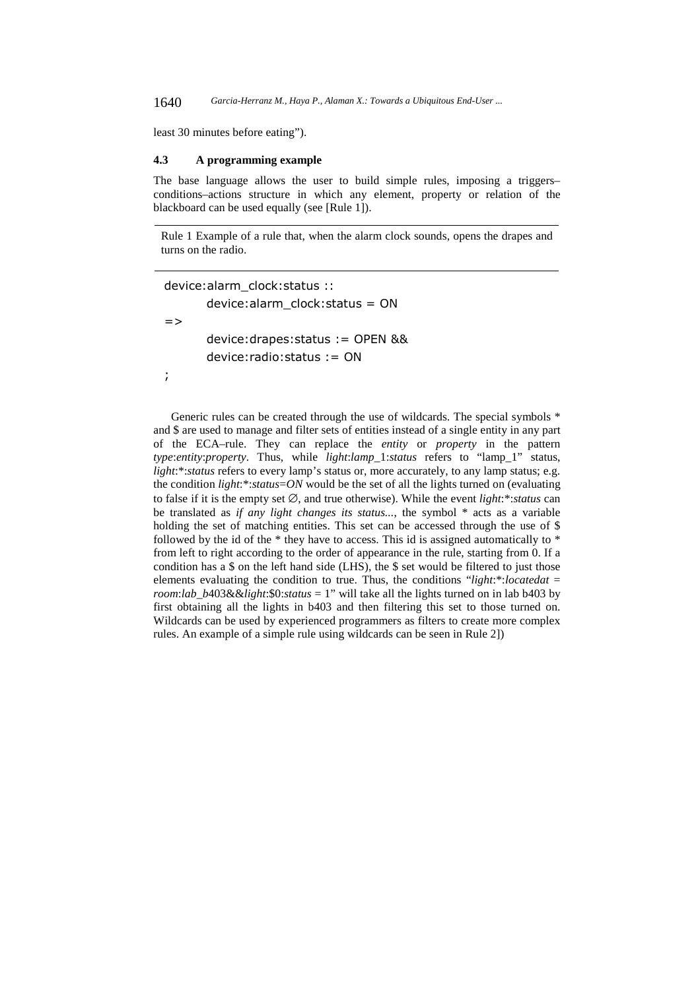1640 *Garcia-Herranz M., Haya P., Alaman X.: Towards a Ubiquitous End-User ...*

least 30 minutes before eating").

#### **4.3 A programming example**

The base language allows the user to build simple rules, imposing a triggers– conditions–actions structure in which any element, property or relation of the blackboard can be used equally (see [Rule 1]).

Rule 1 Example of a rule that, when the alarm clock sounds, opens the drapes and turns on the radio.

device:alarm\_clock:status :: device:alarm\_clock:status = ON  $=$ device:drapes:status := OPEN && device:radio:status := ON ;

Generic rules can be created through the use of wildcards. The special symbols  $*$ and \$ are used to manage and filter sets of entities instead of a single entity in any part of the ECA–rule. They can replace the *entity* or *property* in the pattern *type*:*entity*:*property*. Thus, while *light*:*lamp*\_1:*status* refers to "lamp\_1" status, *light*:\*:*status* refers to every lamp's status or, more accurately, to any lamp status; e.g. the condition *light*:\*:*status*=*ON* would be the set of all the lights turned on (evaluating to false if it is the empty set ∅, and true otherwise). While the event *light*:\*:*status* can be translated as *if any light changes its status...*, the symbol \* acts as a variable holding the set of matching entities. This set can be accessed through the use of \$ followed by the id of the  $*$  they have to access. This id is assigned automatically to  $*$ from left to right according to the order of appearance in the rule, starting from 0. If a condition has a \$ on the left hand side (LHS), the \$ set would be filtered to just those elements evaluating the condition to true. Thus, the conditions "*light*:\*:*locatedat* = *room*:*lab*\_*b*403&&*light*:\$0:*status* = 1" will take all the lights turned on in lab b403 by first obtaining all the lights in b403 and then filtering this set to those turned on. Wildcards can be used by experienced programmers as filters to create more complex rules. An example of a simple rule using wildcards can be seen in Rule 2])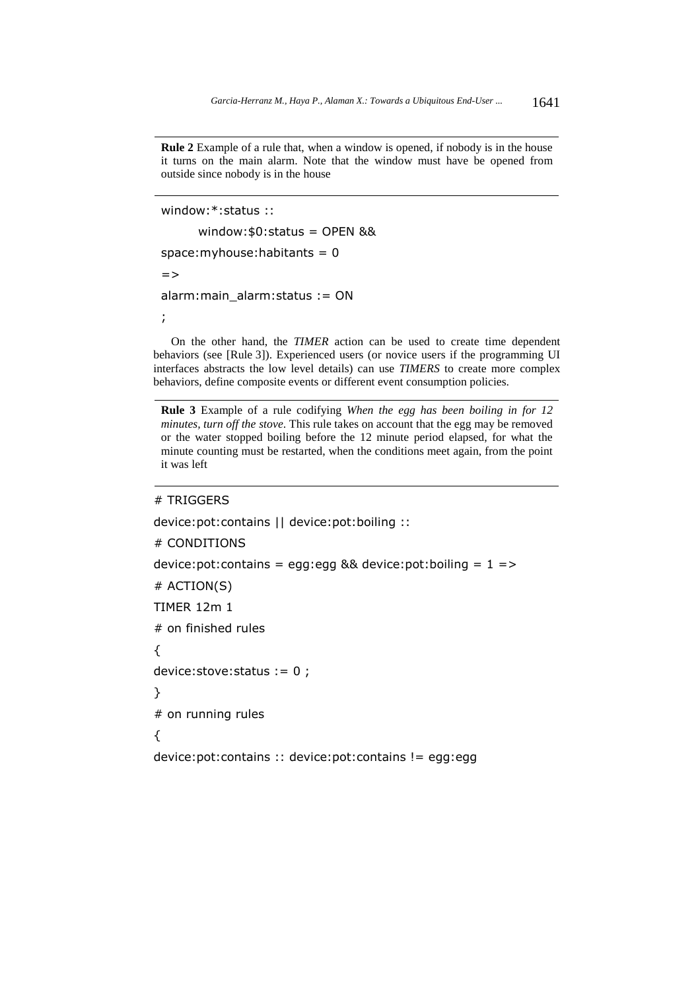**Rule 2** Example of a rule that, when a window is opened, if nobody is in the house it turns on the main alarm. Note that the window must have be opened from outside since nobody is in the house

```
window:*:status :: 
       window:$0:status = OPEN && 
space:myhouse:habitants = 0\Rightarrowalarm:main_alarm:status := ON 
;
```
On the other hand, the *TIMER* action can be used to create time dependent behaviors (see [Rule 3]). Experienced users (or novice users if the programming UI interfaces abstracts the low level details) can use *TIMERS* to create more complex behaviors, define composite events or different event consumption policies.

**Rule 3** Example of a rule codifying *When the egg has been boiling in for 12 minutes, turn off the stove*. This rule takes on account that the egg may be removed or the water stopped boiling before the 12 minute period elapsed, for what the minute counting must be restarted, when the conditions meet again, from the point it was left

#### # TRIGGERS

```
device:pot:contains || device:pot:boiling :: 
# CONDITIONS 
device: pot: contains = egg: egg && device: pot: boiling = 1 =# ACTION(S) 
TIMER 12m 1 
# on finished rules 
{ 
device:stove:status := 0 ; 
} 
# on running rules 
{ 
device:pot:contains :: device:pot:contains != egg:egg
```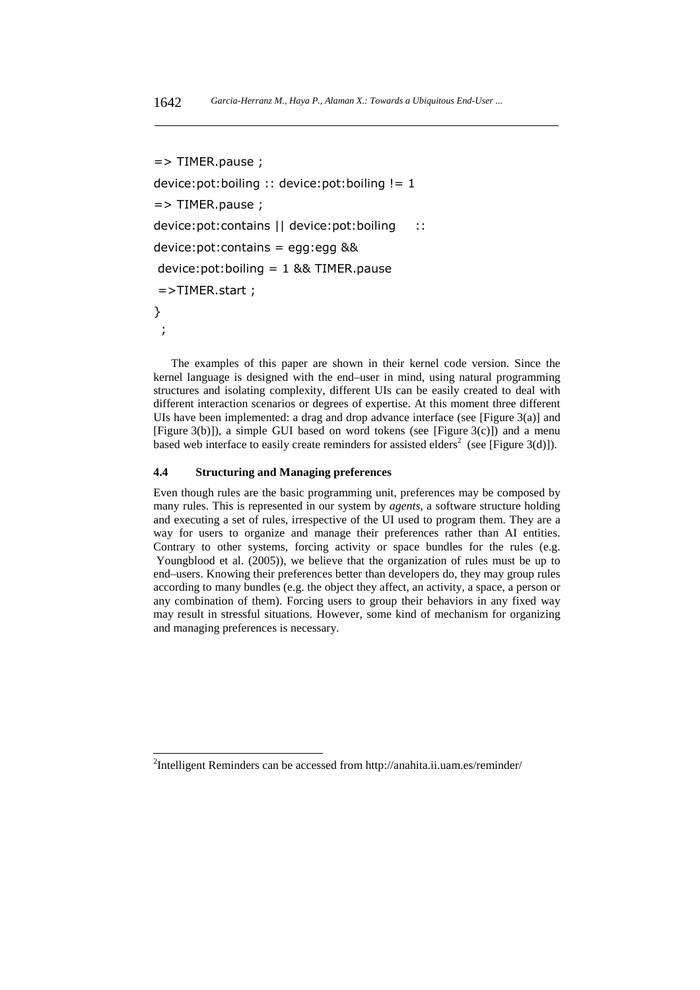```
=> TIMER.pause ; 
device:pot:boiling :: device:pot:boiling != 1 
=> TIMER.pause ; 
device:pot:contains || device:pot:boiling :: 
device:pot:contains = egg:egg && 
device:pot:boiling = 1 && TIMER.pause
=>TIMER.start ; 
} 
 ;
```
The examples of this paper are shown in their kernel code version. Since the kernel language is designed with the end–user in mind, using natural programming structures and isolating complexity, different UIs can be easily created to deal with different interaction scenarios or degrees of expertise. At this moment three different UIs have been implemented: a drag and drop advance interface (see [Figure 3(a)] and [Figure 3(b)]), a simple GUI based on word tokens (see [Figure 3(c)]) and a menu based web interface to easily create reminders for assisted elders<sup>2</sup> (see [Figure 3(d)]).

#### **4.4 Structuring and Managing preferences**

l

Even though rules are the basic programming unit, preferences may be composed by many rules. This is represented in our system by *agents*, a software structure holding and executing a set of rules, irrespective of the UI used to program them. They are a way for users to organize and manage their preferences rather than AI entities. Contrary to other systems, forcing activity or space bundles for the rules (e.g. Youngblood et al. (2005)), we believe that the organization of rules must be up to end–users. Knowing their preferences better than developers do, they may group rules according to many bundles (e.g. the object they affect, an activity, a space, a person or any combination of them). Forcing users to group their behaviors in any fixed way may result in stressful situations. However, some kind of mechanism for organizing and managing preferences is necessary.

<sup>&</sup>lt;sup>2</sup>Intelligent Reminders can be accessed from http://anahita.ii.uam.es/reminder/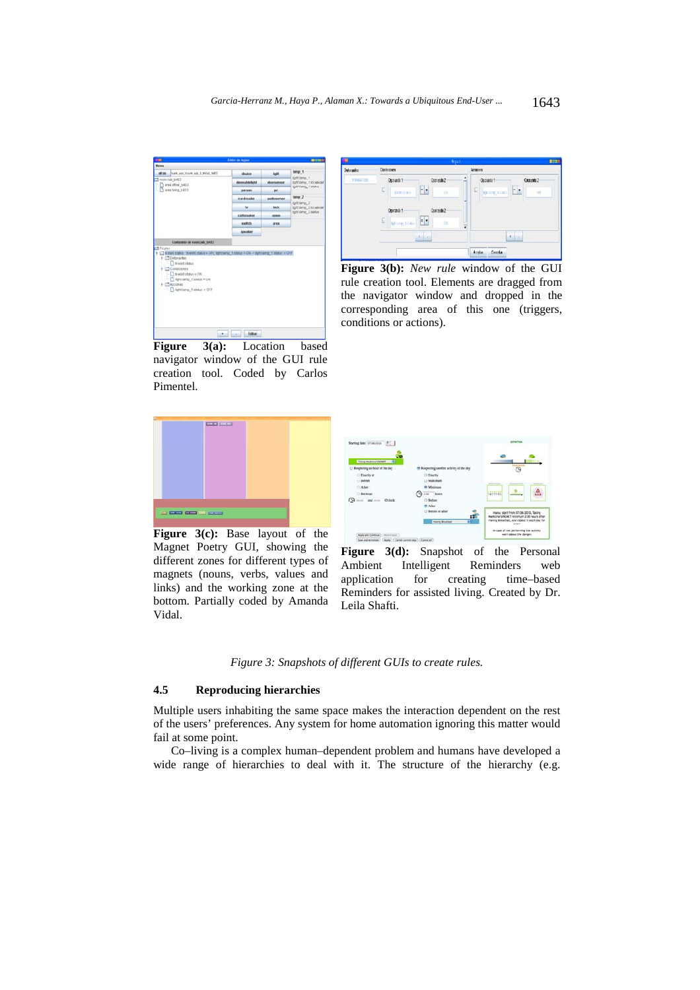

**Figure 3(a):** Location based navigator window of the GUI rule creation tool. Coded by Carlos Pimentel.

| <b>Index and as</b> | Conticones                                                                                                                                                 | <b>Access</b>                                                        |  |  |  |
|---------------------|------------------------------------------------------------------------------------------------------------------------------------------------------------|----------------------------------------------------------------------|--|--|--|
| <b>YEKZZIS</b>      | ٠<br>Consula?<br>Optiado1<br>$ \cdot $<br>E<br>Fint.<br><b>Note Ave.</b><br>Contendo 2<br>Operando 1<br>÷.<br>C)<br><b>Igroep Island</b><br>ų<br><b>bk</b> | Oppards 9<br>Coustile?<br>$\cdot$ .<br>E<br>άř<br><b>AFTER THEFT</b> |  |  |  |
|                     | <b>Million</b>                                                                                                                                             | $\mathbf{1}$<br>Conda<br>Arala:                                      |  |  |  |

**Figure 3(b):** *New rule* window of the GUI rule creation tool. Elements are dragged from the navigator window and dropped in the corresponding area of this one (triggers, conditions or actions).



**Figure 3(c):** Base layout of the Magnet Poetry GUI, showing the different zones for different types of magnets (nouns, verbs, values and links) and the working zone at the bottom. Partially coded by Amanda Vidal.



**Figure 3(d):** Snapshot of the Personal Ambient Intelligent Reminders web application for creating time–based Reminders for assisted living. Created by Dr. Leila Shafti.

*Figure 3: Snapshots of different GUIs to create rules.* 

#### **4.5 Reproducing hierarchies**

Multiple users inhabiting the same space makes the interaction dependent on the rest of the users' preferences. Any system for home automation ignoring this matter would fail at some point.

Co–living is a complex human–dependent problem and humans have developed a wide range of hierarchies to deal with it. The structure of the hierarchy (e.g.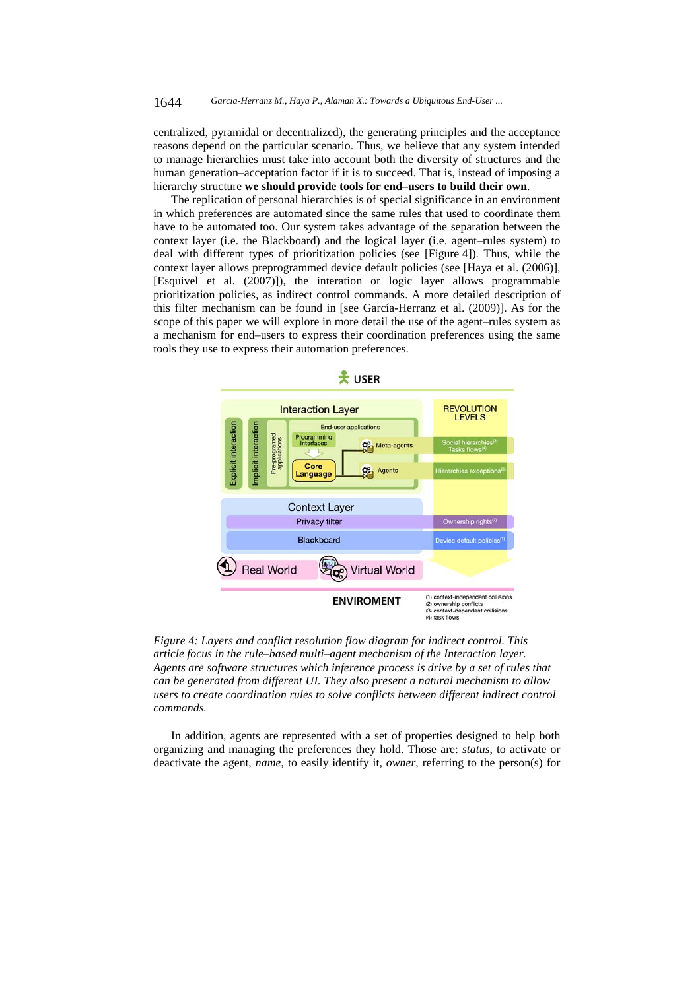centralized, pyramidal or decentralized), the generating principles and the acceptance reasons depend on the particular scenario. Thus, we believe that any system intended to manage hierarchies must take into account both the diversity of structures and the human generation–acceptation factor if it is to succeed. That is, instead of imposing a hierarchy structure **we should provide tools for end–users to build their own**.

The replication of personal hierarchies is of special significance in an environment in which preferences are automated since the same rules that used to coordinate them have to be automated too. Our system takes advantage of the separation between the context layer (i.e. the Blackboard) and the logical layer (i.e. agent–rules system) to deal with different types of prioritization policies (see [Figure 4]). Thus, while the context layer allows preprogrammed device default policies (see [Haya et al. (2006)], [Esquivel et al. (2007)]), the interation or logic layer allows programmable prioritization policies, as indirect control commands. A more detailed description of this filter mechanism can be found in [see García-Herranz et al. (2009)]. As for the scope of this paper we will explore in more detail the use of the agent–rules system as a mechanism for end–users to express their coordination preferences using the same tools they use to express their automation preferences.



*Figure 4: Layers and conflict resolution flow diagram for indirect control. This article focus in the rule–based multi–agent mechanism of the Interaction layer. Agents are software structures which inference process is drive by a set of rules that can be generated from different UI. They also present a natural mechanism to allow users to create coordination rules to solve conflicts between different indirect control commands.* 

In addition, agents are represented with a set of properties designed to help both organizing and managing the preferences they hold. Those are: *status*, to activate or deactivate the agent, *name*, to easily identify it, *owner*, referring to the person(s) for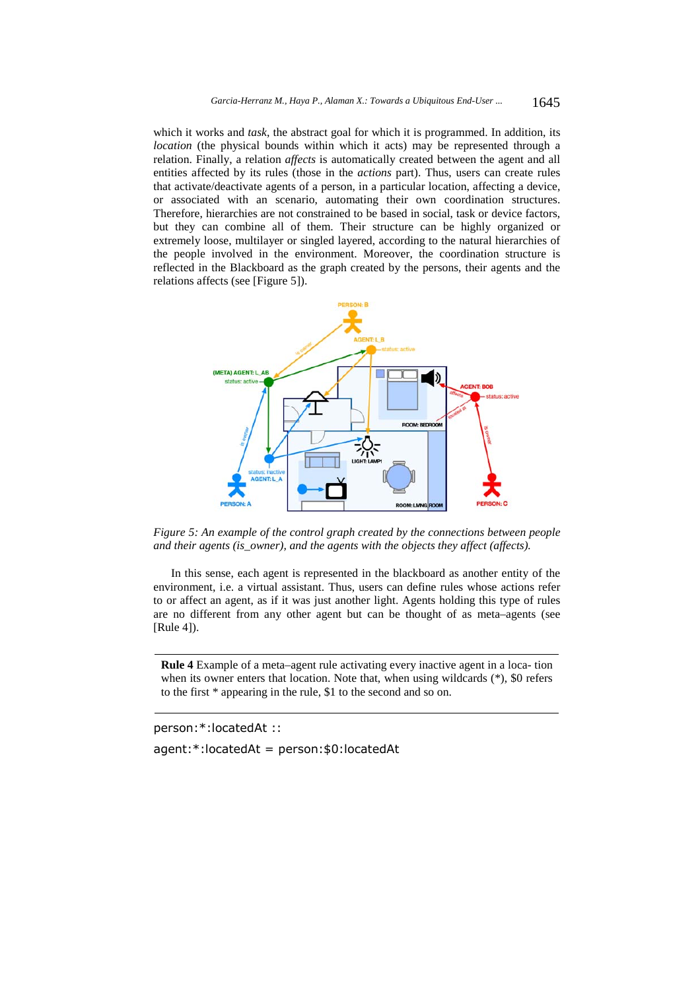which it works and *task*, the abstract goal for which it is programmed. In addition, its *location* (the physical bounds within which it acts) may be represented through a relation. Finally, a relation *affects* is automatically created between the agent and all entities affected by its rules (those in the *actions* part). Thus, users can create rules that activate/deactivate agents of a person, in a particular location, affecting a device, or associated with an scenario, automating their own coordination structures. Therefore, hierarchies are not constrained to be based in social, task or device factors, but they can combine all of them. Their structure can be highly organized or extremely loose, multilayer or singled layered, according to the natural hierarchies of the people involved in the environment. Moreover, the coordination structure is reflected in the Blackboard as the graph created by the persons, their agents and the relations affects (see [Figure 5]).



*Figure 5: An example of the control graph created by the connections between people and their agents (is\_owner), and the agents with the objects they affect (affects).* 

In this sense, each agent is represented in the blackboard as another entity of the environment, i.e. a virtual assistant. Thus, users can define rules whose actions refer to or affect an agent, as if it was just another light. Agents holding this type of rules are no different from any other agent but can be thought of as meta–agents (see [Rule 4]).

**Rule 4** Example of a meta–agent rule activating every inactive agent in a loca- tion when its owner enters that location. Note that, when using wildcards (\*), \$0 refers to the first \* appearing in the rule, \$1 to the second and so on.

person:\*:locatedAt :: agent:\*:locatedAt = person:\$0:locatedAt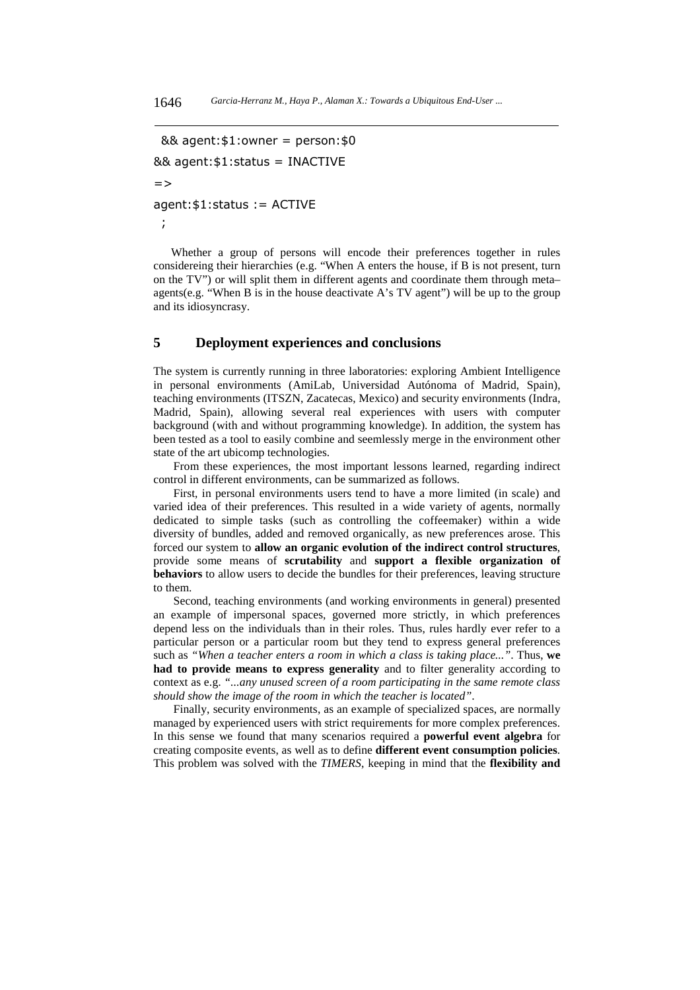```
&& agent:$1:owner = person:$0 
&& agent:$1:status = INACTIVE 
=agent:$1:status := ACTIVE 
 ;
```
Whether a group of persons will encode their preferences together in rules considereing their hierarchies (e.g. "When A enters the house, if B is not present, turn on the TV") or will split them in different agents and coordinate them through meta– agents(e.g. "When B is in the house deactivate A's TV agent") will be up to the group and its idiosyncrasy.

## **5 Deployment experiences and conclusions**

The system is currently running in three laboratories: exploring Ambient Intelligence in personal environments (AmiLab, Universidad Autónoma of Madrid, Spain), teaching environments (ITSZN, Zacatecas, Mexico) and security environments (Indra, Madrid, Spain), allowing several real experiences with users with computer background (with and without programming knowledge). In addition, the system has been tested as a tool to easily combine and seemlessly merge in the environment other state of the art ubicomp technologies.

From these experiences, the most important lessons learned, regarding indirect control in different environments, can be summarized as follows.

First, in personal environments users tend to have a more limited (in scale) and varied idea of their preferences. This resulted in a wide variety of agents, normally dedicated to simple tasks (such as controlling the coffeemaker) within a wide diversity of bundles, added and removed organically, as new preferences arose. This forced our system to **allow an organic evolution of the indirect control structures**, provide some means of **scrutability** and **support a flexible organization of behaviors** to allow users to decide the bundles for their preferences, leaving structure to them.

Second, teaching environments (and working environments in general) presented an example of impersonal spaces, governed more strictly, in which preferences depend less on the individuals than in their roles. Thus, rules hardly ever refer to a particular person or a particular room but they tend to express general preferences such as *"When a teacher enters a room in which a class is taking place..."*. Thus, **we had to provide means to express generality** and to filter generality according to context as e.g. *"...any unused screen of a room participating in the same remote class should show the image of the room in which the teacher is located"*.

Finally, security environments, as an example of specialized spaces, are normally managed by experienced users with strict requirements for more complex preferences. In this sense we found that many scenarios required a **powerful event algebra** for creating composite events, as well as to define **different event consumption policies**. This problem was solved with the *TIMERS*, keeping in mind that the **flexibility and**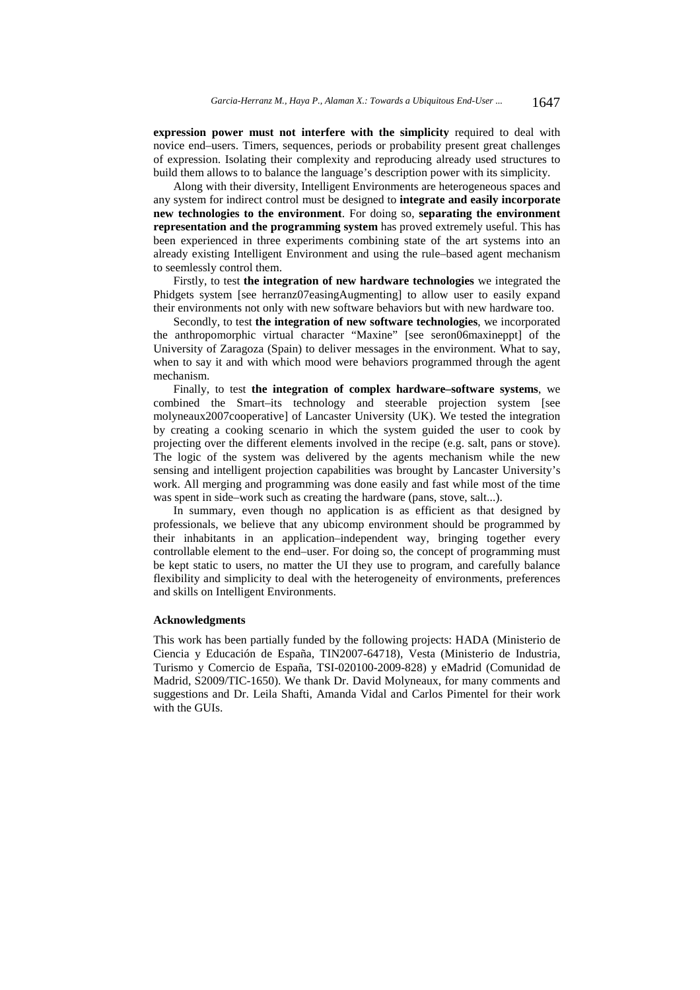**expression power must not interfere with the simplicity** required to deal with novice end–users. Timers, sequences, periods or probability present great challenges of expression. Isolating their complexity and reproducing already used structures to build them allows to to balance the language's description power with its simplicity.

Along with their diversity, Intelligent Environments are heterogeneous spaces and any system for indirect control must be designed to **integrate and easily incorporate new technologies to the environment**. For doing so, **separating the environment representation and the programming system** has proved extremely useful. This has been experienced in three experiments combining state of the art systems into an already existing Intelligent Environment and using the rule–based agent mechanism to seemlessly control them.

Firstly, to test **the integration of new hardware technologies** we integrated the Phidgets system [see herranz07easingAugmenting] to allow user to easily expand their environments not only with new software behaviors but with new hardware too.

Secondly, to test **the integration of new software technologies**, we incorporated the anthropomorphic virtual character "Maxine" [see seron06maxineppt] of the University of Zaragoza (Spain) to deliver messages in the environment. What to say, when to say it and with which mood were behaviors programmed through the agent mechanism.

Finally, to test **the integration of complex hardware–software systems**, we combined the Smart–its technology and steerable projection system [see molyneaux2007cooperative] of Lancaster University (UK). We tested the integration by creating a cooking scenario in which the system guided the user to cook by projecting over the different elements involved in the recipe (e.g. salt, pans or stove). The logic of the system was delivered by the agents mechanism while the new sensing and intelligent projection capabilities was brought by Lancaster University's work. All merging and programming was done easily and fast while most of the time was spent in side–work such as creating the hardware (pans, stove, salt...).

In summary, even though no application is as efficient as that designed by professionals, we believe that any ubicomp environment should be programmed by their inhabitants in an application–independent way, bringing together every controllable element to the end–user. For doing so, the concept of programming must be kept static to users, no matter the UI they use to program, and carefully balance flexibility and simplicity to deal with the heterogeneity of environments, preferences and skills on Intelligent Environments.

#### **Acknowledgments**

This work has been partially funded by the following projects: HADA (Ministerio de Ciencia y Educación de España, TIN2007-64718), Vesta (Ministerio de Industria, Turismo y Comercio de España, TSI-020100-2009-828) y eMadrid (Comunidad de Madrid, S2009/TIC-1650). We thank Dr. David Molyneaux, for many comments and suggestions and Dr. Leila Shafti, Amanda Vidal and Carlos Pimentel for their work with the GUIs.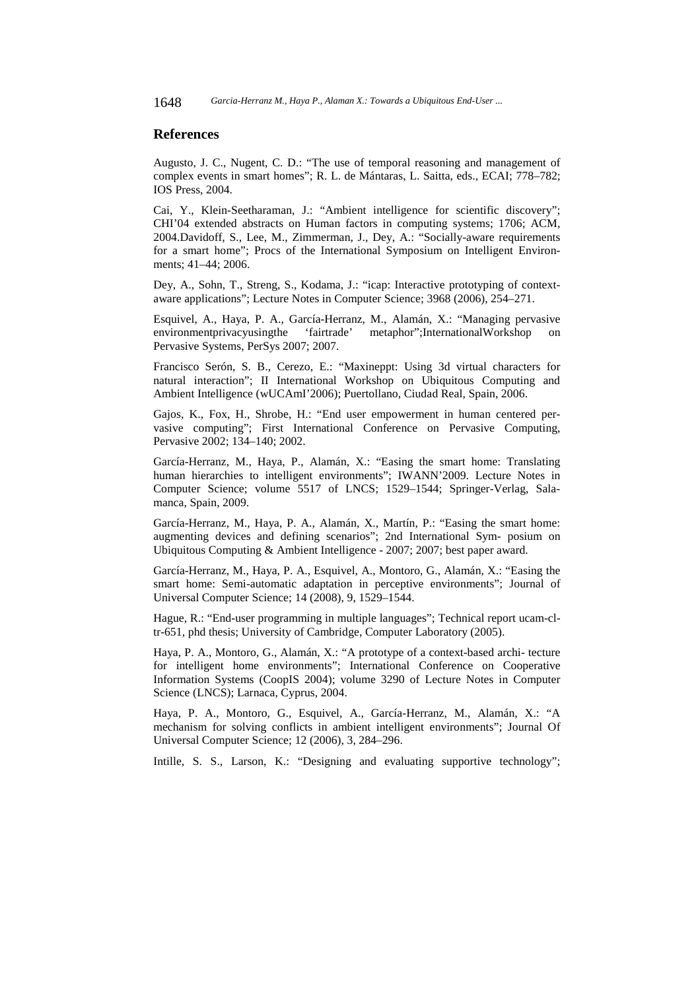## **References**

Augusto, J. C., Nugent, C. D.: "The use of temporal reasoning and management of complex events in smart homes"; R. L. de Mántaras, L. Saitta, eds., ECAI; 778–782; IOS Press, 2004.

Cai, Y., Klein-Seetharaman, J.: "Ambient intelligence for scientific discovery"; CHI'04 extended abstracts on Human factors in computing systems; 1706; ACM, 2004.Davidoff, S., Lee, M., Zimmerman, J., Dey, A.: "Socially-aware requirements for a smart home"; Procs of the International Symposium on Intelligent Environments; 41–44; 2006.

Dey, A., Sohn, T., Streng, S., Kodama, J.: "icap: Interactive prototyping of contextaware applications"; Lecture Notes in Computer Science; 3968 (2006), 254–271.

Esquivel, A., Haya, P. A., García-Herranz, M., Alamán, X.: "Managing pervasive environmentprivacyusingthe 'fairtrade' metaphor";InternationalWorkshop Pervasive Systems, PerSys 2007; 2007.

Francisco Serón, S. B., Cerezo, E.: "Maxineppt: Using 3d virtual characters for natural interaction"; II International Workshop on Ubiquitous Computing and Ambient Intelligence (wUCAmI'2006); Puertollano, Ciudad Real, Spain, 2006.

Gajos, K., Fox, H., Shrobe, H.: "End user empowerment in human centered pervasive computing"; First International Conference on Pervasive Computing, Pervasive 2002; 134–140; 2002.

García-Herranz, M., Haya, P., Alamán, X.: "Easing the smart home: Translating human hierarchies to intelligent environments"; IWANN'2009. Lecture Notes in Computer Science; volume 5517 of LNCS; 1529–1544; Springer-Verlag, Salamanca, Spain, 2009.

García-Herranz, M., Haya, P. A., Alamán, X., Martín, P.: "Easing the smart home: augmenting devices and defining scenarios"; 2nd International Sym- posium on Ubiquitous Computing & Ambient Intelligence - 2007; 2007; best paper award.

García-Herranz, M., Haya, P. A., Esquivel, A., Montoro, G., Alamán, X.: "Easing the smart home: Semi-automatic adaptation in perceptive environments"; Journal of Universal Computer Science; 14 (2008), 9, 1529–1544.

Hague, R.: "End-user programming in multiple languages"; Technical report ucam-cltr-651, phd thesis; University of Cambridge, Computer Laboratory (2005).

Haya, P. A., Montoro, G., Alamán, X.: "A prototype of a context-based archi- tecture for intelligent home environments"; International Conference on Cooperative Information Systems (CoopIS 2004); volume 3290 of Lecture Notes in Computer Science (LNCS); Larnaca, Cyprus, 2004.

Haya, P. A., Montoro, G., Esquivel, A., García-Herranz, M., Alamán, X.: "A mechanism for solving conflicts in ambient intelligent environments"; Journal Of Universal Computer Science; 12 (2006), 3, 284–296.

Intille, S. S., Larson, K.: "Designing and evaluating supportive technology";